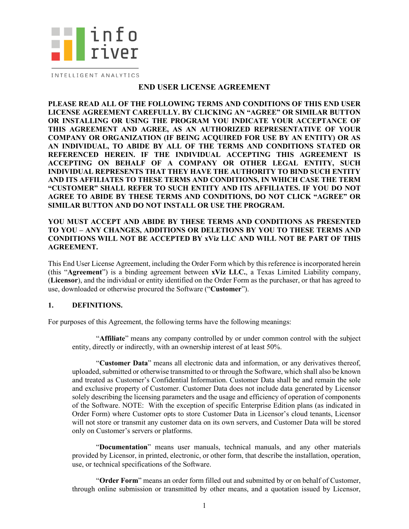

INTELLIGENT ANALYTICS

### **END USER LICENSE AGREEMENT**

**PLEASE READ ALL OF THE FOLLOWING TERMS AND CONDITIONS OF THIS END USER LICENSE AGREEMENT CAREFULLY. BY CLICKING AN "AGREE" OR SIMILAR BUTTON OR INSTALLING OR USING THE PROGRAM YOU INDICATE YOUR ACCEPTANCE OF THIS AGREEMENT AND AGREE, AS AN AUTHORIZED REPRESENTATIVE OF YOUR COMPANY OR ORGANIZATION (IF BEING ACQUIRED FOR USE BY AN ENTITY) OR AS AN INDIVIDUAL, TO ABIDE BY ALL OF THE TERMS AND CONDITIONS STATED OR REFERENCED HEREIN. IF THE INDIVIDUAL ACCEPTING THIS AGREEMENT IS ACCEPTING ON BEHALF OF A COMPANY OR OTHER LEGAL ENTITY, SUCH INDIVIDUAL REPRESENTS THAT THEY HAVE THE AUTHORITY TO BIND SUCH ENTITY AND ITS AFFILIATES TO THESE TERMS AND CONDITIONS, IN WHICH CASE THE TERM "CUSTOMER" SHALL REFER TO SUCH ENTITY AND ITS AFFILIATES. IF YOU DO NOT AGREE TO ABIDE BY THESE TERMS AND CONDITIONS, DO NOT CLICK "AGREE" OR SIMILAR BUTTON AND DO NOT INSTALL OR USE THE PROGRAM.** 

### **YOU MUST ACCEPT AND ABIDE BY THESE TERMS AND CONDITIONS AS PRESENTED TO YOU – ANY CHANGES, ADDITIONS OR DELETIONS BY YOU TO THESE TERMS AND CONDITIONS WILL NOT BE ACCEPTED BY xViz LLC AND WILL NOT BE PART OF THIS AGREEMENT.**

This End User License Agreement, including the Order Form which by this reference is incorporated herein (this "**Agreement**") is a binding agreement between **xViz LLC.**, a Texas Limited Liability company, (**Licensor**), and the individual or entity identified on the Order Form as the purchaser, or that has agreed to use, downloaded or otherwise procured the Software ("**Customer**").

### **1. DEFINITIONS.**

For purposes of this Agreement, the following terms have the following meanings:

"**Affiliate**" means any company controlled by or under common control with the subject entity, directly or indirectly, with an ownership interest of at least 50%.

"**Customer Data**" means all electronic data and information, or any derivatives thereof, uploaded, submitted or otherwise transmitted to or through the Software, which shall also be known and treated as Customer's Confidential Information. Customer Data shall be and remain the sole and exclusive property of Customer. Customer Data does not include data generated by Licensor solely describing the licensing parameters and the usage and efficiency of operation of components of the Software. NOTE: With the exception of specific Enterprise Edition plans (as indicated in Order Form) where Customer opts to store Customer Data in Licensor's cloud tenants, Licensor will not store or transmit any customer data on its own servers, and Customer Data will be stored only on Customer's servers or platforms.

"**Documentation**" means user manuals, technical manuals, and any other materials provided by Licensor, in printed, electronic, or other form, that describe the installation, operation, use, or technical specifications of the Software.

"**Order Form**" means an order form filled out and submitted by or on behalf of Customer, through online submission or transmitted by other means, and a quotation issued by Licensor,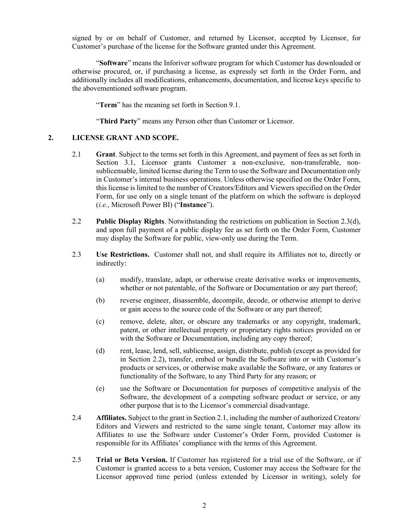signed by or on behalf of Customer, and returned by Licensor, accepted by Licensor, for Customer's purchase of the license for the Software granted under this Agreement.

"**Software**" means the Inforiver software program for which Customer has downloaded or otherwise procured, or, if purchasing a license, as expressly set forth in the Order Form, and additionally includes all modifications, enhancements, documentation, and license keys specific to the abovementioned software program.

"**Term**" has the meaning set forth in Section [9.1.](#page-4-0)

"**Third Party**" means any Person other than Customer or Licensor.

### <span id="page-1-2"></span>**2. LICENSE GRANT AND SCOPE.**

- 2.1 **Grant**. Subject to the terms set forth in this Agreement, and payment of fees as set forth in Section [3.1,](#page-2-0) Licensor grants Customer a non-exclusive, non-transferable, nonsublicensable, limited license during the Term to use the Software and Documentation only in Customer's internal business operations. Unless otherwise specified on the Order Form, this license is limited to the number of Creators/Editors and Viewers specified on the Order Form, for use only on a single tenant of the platform on which the software is deployed (*i.e.*, Microsoft Power BI) ("**Instance**").
- <span id="page-1-1"></span>2.2 **Public Display Rights**. Notwithstanding the restrictions on publication in Section [2.3\(d\),](#page-1-0)  and upon full payment of a public display fee as set forth on the Order Form, Customer may display the Software for public, view-only use during the Term.
- 2.3 **Use Restrictions.** Customer shall not, and shall require its Affiliates not to, directly or indirectly:
	- (a) modify, translate, adapt, or otherwise create derivative works or improvements, whether or not patentable, of the Software or Documentation or any part thereof;
	- (b) reverse engineer, disassemble, decompile, decode, or otherwise attempt to derive or gain access to the source code of the Software or any part thereof;
	- (c) remove, delete, alter, or obscure any trademarks or any copyright, trademark, patent, or other intellectual property or proprietary rights notices provided on or with the Software or Documentation, including any copy thereof;
	- (d) rent, lease, lend, sell, sublicense, assign, distribute, publish (except as provided for in Section [2.2\)](#page-1-1), transfer, embed or bundle the Software into or with Customer's products or services, or otherwise make available the Software, or any features or functionality of the Software, to any Third Party for any reason; or
	- (e) use the Software or Documentation for purposes of competitive analysis of the Software, the development of a competing software product or service, or any other purpose that is to the Licensor's commercial disadvantage.
- <span id="page-1-0"></span>2.4 **Affiliates.** Subject to the grant in Section [2.1,](#page-1-2) including the number of authorized Creators/ Editors and Viewers and restricted to the same single tenant, Customer may allow its Affiliates to use the Software under Customer's Order Form, provided Customer is responsible for its Affiliates' compliance with the terms of this Agreement.
- 2.5 **Trial or Beta Version.** If Customer has registered for a trial use of the Software, or if Customer is granted access to a beta version, Customer may access the Software for the Licensor approved time period (unless extended by Licensor in writing), solely for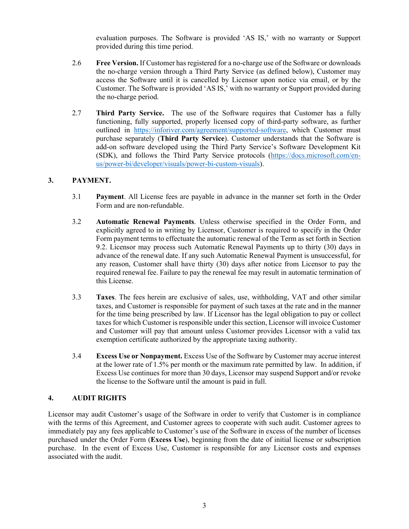evaluation purposes. The Software is provided 'AS IS,' with no warranty or Support provided during this time period.

- 2.6 **Free Version.** If Customer has registered for a no-charge use of the Software or downloads the no-charge version through a Third Party Service (as defined below), Customer may access the Software until it is cancelled by Licensor upon notice via email, or by the Customer. The Software is provided 'AS IS,' with no warranty or Support provided during the no-charge period.
- 2.7 **Third Party Service.** The use of the Software requires that Customer has a fully functioning, fully supported, properly licensed copy of third-party software, as further outlined in [https://inforiver.com/agreement/supported-software,](https://inforiver.com/agreement/supported-software) which Customer must purchase separately (**Third Party Service**). Customer understands that the Software is add-on software developed using the Third Party Service's Software Development Kit (SDK), and follows the Third Party Service protocols [\(https://docs.microsoft.com/en](https://docs.microsoft.com/en-us/power-bi/developer/visuals/power-bi-custom-visuals)[us/power-bi/developer/visuals/power-bi-custom-visuals\)](https://docs.microsoft.com/en-us/power-bi/developer/visuals/power-bi-custom-visuals).

### <span id="page-2-0"></span>**3. PAYMENT.**

- 3.1 **Payment**. All License fees are payable in advance in the manner set forth in the Order Form and are non-refundable.
- 3.2 **Automatic Renewal Payments**. Unless otherwise specified in the Order Form, and explicitly agreed to in writing by Licensor, Customer is required to specify in the Order Form payment terms to effectuate the automatic renewal of the Term as set forth in Section [9.2.](#page-4-1) Licensor may process such Automatic Renewal Payments up to thirty (30) days in advance of the renewal date. If any such Automatic Renewal Payment is unsuccessful, for any reason, Customer shall have thirty (30) days after notice from Licensor to pay the required renewal fee. Failure to pay the renewal fee may result in automatic termination of this License.
- 3.3 **Taxes**. The fees herein are exclusive of sales, use, withholding, VAT and other similar taxes, and Customer is responsible for payment of such taxes at the rate and in the manner for the time being prescribed by law. If Licensor has the legal obligation to pay or collect taxes for which Customer is responsible under this section, Licensor will invoice Customer and Customer will pay that amount unless Customer provides Licensor with a valid tax exemption certificate authorized by the appropriate taxing authority.
- 3.4 **Excess Use or Nonpayment.** Excess Use of the Software by Customer may accrue interest at the lower rate of 1.5% per month or the maximum rate permitted by law. In addition, if Excess Use continues for more than 30 days, Licensor may suspend Support and/or revoke the license to the Software until the amount is paid in full.

### <span id="page-2-1"></span>**4. AUDIT RIGHTS**

Licensor may audit Customer's usage of the Software in order to verify that Customer is in compliance with the terms of this Agreement, and Customer agrees to cooperate with such audit. Customer agrees to immediately pay any fees applicable to Customer's use of the Software in excess of the number of licenses purchased under the Order Form (**Excess Use**), beginning from the date of initial license or subscription purchase. In the event of Excess Use, Customer is responsible for any Licensor costs and expenses associated with the audit.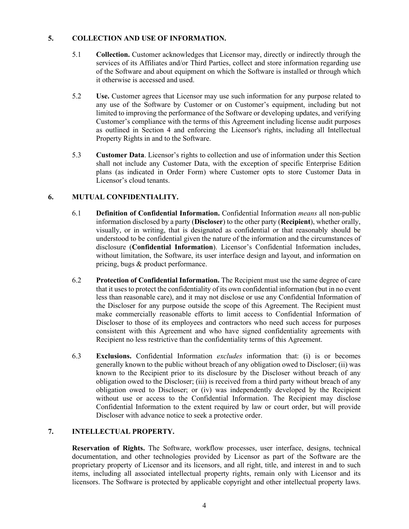## <span id="page-3-0"></span>**5. COLLECTION AND USE OF INFORMATION.**

- 5.1 **Collection.** Customer acknowledges that Licensor may, directly or indirectly through the services of its Affiliates and/or Third Parties, collect and store information regarding use of the Software and about equipment on which the Software is installed or through which it otherwise is accessed and used.
- 5.2 **Use.** Customer agrees that Licensor may use such information for any purpose related to any use of the Software by Customer or on Customer's equipment, including but not limited to improving the performance of the Software or developing updates, and verifying Customer's compliance with the terms of this Agreement including license audit purposes as outlined in Section [4](#page-2-1) and enforcing the Licensor's rights, including all Intellectual Property Rights in and to the Software.
- 5.3 **Customer Data**. Licensor's rights to collection and use of information under this Section shall not include any Customer Data, with the exception of specific Enterprise Edition plans (as indicated in Order Form) where Customer opts to store Customer Data in Licensor's cloud tenants.

# **6. MUTUAL CONFIDENTIALITY.**

- 6.1 **Definition of Confidential Information.** Confidential Information *means* all non-public information disclosed by a party (**Discloser**) to the other party (**Recipient**), whether orally, visually, or in writing, that is designated as confidential or that reasonably should be understood to be confidential given the nature of the information and the circumstances of disclosure (**Confidential Information**). Licensor's Confidential Information includes, without limitation, the Software, its user interface design and layout, and information on pricing, bugs & product performance.
- 6.2 **Protection of Confidential Information.** The Recipient must use the same degree of care that it uses to protect the confidentiality of its own confidential information (but in no event less than reasonable care), and it may not disclose or use any Confidential Information of the Discloser for any purpose outside the scope of this Agreement. The Recipient must make commercially reasonable efforts to limit access to Confidential Information of Discloser to those of its employees and contractors who need such access for purposes consistent with this Agreement and who have signed confidentiality agreements with Recipient no less restrictive than the confidentiality terms of this Agreement.
- 6.3 **Exclusions.** Confidential Information *excludes* information that: (i) is or becomes generally known to the public without breach of any obligation owed to Discloser; (ii) was known to the Recipient prior to its disclosure by the Discloser without breach of any obligation owed to the Discloser; (iii) is received from a third party without breach of any obligation owed to Discloser; or (iv) was independently developed by the Recipient without use or access to the Confidential Information. The Recipient may disclose Confidential Information to the extent required by law or court order, but will provide Discloser with advance notice to seek a protective order.

# **7. INTELLECTUAL PROPERTY.**

**Reservation of Rights.** The Software, workflow processes, user interface, designs, technical documentation, and other technologies provided by Licensor as part of the Software are the proprietary property of Licensor and its licensors, and all right, title, and interest in and to such items, including all associated intellectual property rights, remain only with Licensor and its licensors. The Software is protected by applicable copyright and other intellectual property laws.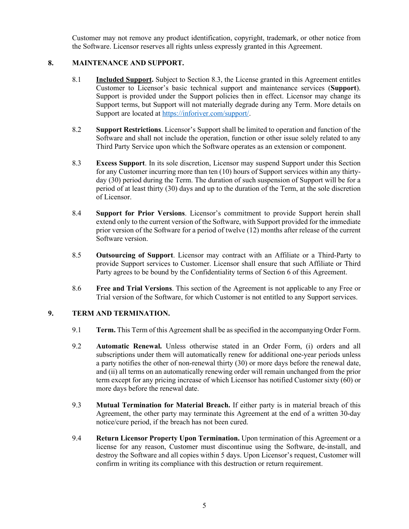Customer may not remove any product identification, copyright, trademark, or other notice from the Software. Licensor reserves all rights unless expressly granted in this Agreement.

## **8. MAINTENANCE AND SUPPORT.**

- 8.1 **Included Support.** Subject to Section [8.3,](#page-4-2) the License granted in this Agreement entitles Customer to Licensor's basic technical support and maintenance services (**Support**). Support is provided under the Support policies then in effect. Licensor may change its Support terms, but Support will not materially degrade during any Term. More details on Support are located at [https://inforiver.com/support/.](https://inforiver.com/support/)
- 8.2 **Support Restrictions**. Licensor's Support shall be limited to operation and function of the Software and shall not include the operation, function or other issue solely related to any Third Party Service upon which the Software operates as an extension or component.
- <span id="page-4-2"></span>8.3 **Excess Support**. In its sole discretion, Licensor may suspend Support under this Section for any Customer incurring more than ten (10) hours of Support services within any thirtyday (30) period during the Term. The duration of such suspension of Support will be for a period of at least thirty (30) days and up to the duration of the Term, at the sole discretion of Licensor.
- 8.4 **Support for Prior Versions**. Licensor's commitment to provide Support herein shall extend only to the current version of the Software, with Support provided for the immediate prior version of the Software for a period of twelve (12) months after release of the current Software version.
- 8.5 **Outsourcing of Support**. Licensor may contract with an Affiliate or a Third-Party to provide Support services to Customer. Licensor shall ensure that such Affiliate or Third Party agrees to be bound by the Confidentiality terms of Section [6](#page-3-0) of this Agreement.
- 8.6 **Free and Trial Versions**. This section of the Agreement is not applicable to any Free or Trial version of the Software, for which Customer is not entitled to any Support services.

### <span id="page-4-0"></span>**9. TERM AND TERMINATION.**

- 9.1 **Term.** This Term of this Agreement shall be as specified in the accompanying Order Form.
- <span id="page-4-1"></span>9.2 **Automatic Renewal.** Unless otherwise stated in an Order Form, (i) orders and all subscriptions under them will automatically renew for additional one-year periods unless a party notifies the other of non-renewal thirty (30) or more days before the renewal date, and (ii) all terms on an automatically renewing order will remain unchanged from the prior term except for any pricing increase of which Licensor has notified Customer sixty (60) or more days before the renewal date.
- 9.3 **Mutual Termination for Material Breach.** If either party is in material breach of this Agreement, the other party may terminate this Agreement at the end of a written 30-day notice/cure period, if the breach has not been cured.
- 9.4 **Return Licensor Property Upon Termination.** Upon termination of this Agreement or a license for any reason, Customer must discontinue using the Software, de-install, and destroy the Software and all copies within 5 days. Upon Licensor's request, Customer will confirm in writing its compliance with this destruction or return requirement.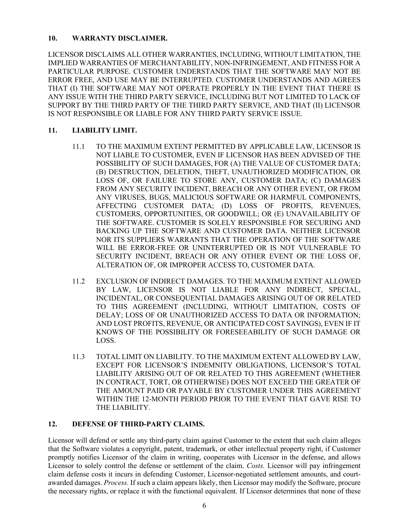## **10. WARRANTY DISCLAIMER.**

LICENSOR DISCLAIMS ALL OTHER WARRANTIES, INCLUDING, WITHOUT LIMITATION, THE IMPLIED WARRANTIES OF MERCHANTABILITY, NON-INFRINGEMENT, AND FITNESS FOR A PARTICULAR PURPOSE. CUSTOMER UNDERSTANDS THAT THE SOFTWARE MAY NOT BE ERROR FREE, AND USE MAY BE INTERRUPTED. CUSTOMER UNDERSTANDS AND AGREES THAT (I) THE SOFTWARE MAY NOT OPERATE PROPERLY IN THE EVENT THAT THERE IS ANY ISSUE WITH THE THIRD PARTY SERVICE, INCLUDING BUT NOT LIMITED TO LACK OF SUPPORT BY THE THIRD PARTY OF THE THIRD PARTY SERVICE, AND THAT (II) LICENSOR IS NOT RESPONSIBLE OR LIABLE FOR ANY THIRD PARTY SERVICE ISSUE.

## **11. LIABILITY LIMIT.**

- 11.1 TO THE MAXIMUM EXTENT PERMITTED BY APPLICABLE LAW, LICENSOR IS NOT LIABLE TO CUSTOMER, EVEN IF LICENSOR HAS BEEN ADVISED OF THE POSSIBILITY OF SUCH DAMAGES, FOR (A) THE VALUE OF CUSTOMER DATA; (B) DESTRUCTION, DELETION, THEFT, UNAUTHORIZED MODIFICATION, OR LOSS OF, OR FAILURE TO STORE ANY, CUSTOMER DATA; (C) DAMAGES FROM ANY SECURITY INCIDENT, BREACH OR ANY OTHER EVENT, OR FROM ANY VIRUSES, BUGS, MALICIOUS SOFTWARE OR HARMFUL COMPONENTS, AFFECTING CUSTOMER DATA; (D) LOSS OF PROFITS, REVENUES, CUSTOMERS, OPPORTUNITIES, OR GOODWILL; OR (E) UNAVAILABILITY OF THE SOFTWARE. CUSTOMER IS SOLELY RESPONSIBLE FOR SECURING AND BACKING UP THE SOFTWARE AND CUSTOMER DATA. NEITHER LICENSOR NOR ITS SUPPLIERS WARRANTS THAT THE OPERATION OF THE SOFTWARE WILL BE ERROR-FREE OR UNINTERRUPTED OR IS NOT VULNERABLE TO SECURITY INCIDENT, BREACH OR ANY OTHER EVENT OR THE LOSS OF, ALTERATION OF, OR IMPROPER ACCESS TO, CUSTOMER DATA.
- 11.2 EXCLUSION OF INDIRECT DAMAGES. TO THE MAXIMUM EXTENT ALLOWED BY LAW, LICENSOR IS NOT LIABLE FOR ANY INDIRECT, SPECIAL, INCIDENTAL, OR CONSEQUENTIAL DAMAGES ARISING OUT OF OR RELATED TO THIS AGREEMENT (INCLUDING, WITHOUT LIMITATION, COSTS OF DELAY; LOSS OF OR UNAUTHORIZED ACCESS TO DATA OR INFORMATION; AND LOST PROFITS, REVENUE, OR ANTICIPATED COST SAVINGS), EVEN IF IT KNOWS OF THE POSSIBILITY OR FORESEEABILITY OF SUCH DAMAGE OR LOSS.
- 11.3 TOTAL LIMIT ON LIABILITY. TO THE MAXIMUM EXTENT ALLOWED BY LAW, EXCEPT FOR LICENSOR'S INDEMNITY OBLIGATIONS, LICENSOR'S TOTAL LIABILITY ARISING OUT OF OR RELATED TO THIS AGREEMENT (WHETHER IN CONTRACT, TORT, OR OTHERWISE) DOES NOT EXCEED THE GREATER OF THE AMOUNT PAID OR PAYABLE BY CUSTOMER UNDER THIS AGREEMENT WITHIN THE 12-MONTH PERIOD PRIOR TO THE EVENT THAT GAVE RISE TO THE LIABILITY.

### **12. DEFENSE OF THIRD-PARTY CLAIMS.**

Licensor will defend or settle any third-party claim against Customer to the extent that such claim alleges that the Software violates a copyright, patent, trademark, or other intellectual property right, if Customer promptly notifies Licensor of the claim in writing, cooperates with Licensor in the defense, and allows Licensor to solely control the defense or settlement of the claim. *Costs.* Licensor will pay infringement claim defense costs it incurs in defending Customer, Licensor-negotiated settlement amounts, and courtawarded damages. *Process.* If such a claim appears likely, then Licensor may modify the Software, procure the necessary rights, or replace it with the functional equivalent. If Licensor determines that none of these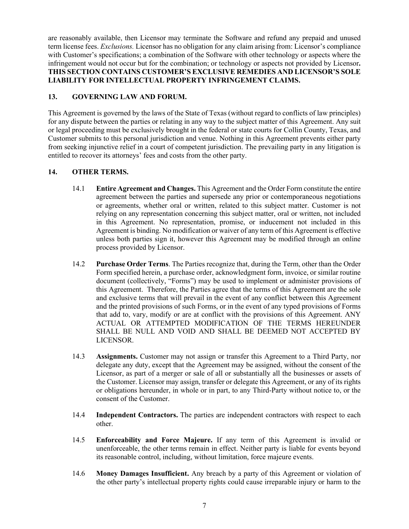are reasonably available, then Licensor may terminate the Software and refund any prepaid and unused term license fees. *Exclusions.* Licensor has no obligation for any claim arising from: Licensor's compliance with Customer's specifications; a combination of the Software with other technology or aspects where the infringement would not occur but for the combination; or technology or aspects not provided by Licensor**. THIS SECTION CONTAINS CUSTOMER'S EXCLUSIVE REMEDIES AND LICENSOR'S SOLE LIABILITY FOR INTELLECTUAL PROPERTY INFRINGEMENT CLAIMS.**

## **13. GOVERNING LAW AND FORUM.**

This Agreement is governed by the laws of the State of Texas (without regard to conflicts of law principles) for any dispute between the parties or relating in any way to the subject matter of this Agreement. Any suit or legal proceeding must be exclusively brought in the federal or state courts for Collin County, Texas, and Customer submits to this personal jurisdiction and venue. Nothing in this Agreement prevents either party from seeking injunctive relief in a court of competent jurisdiction. The prevailing party in any litigation is entitled to recover its attorneys' fees and costs from the other party.

## **14. OTHER TERMS.**

- 14.1 **Entire Agreement and Changes.** This Agreement and the Order Form constitute the entire agreement between the parties and supersede any prior or contemporaneous negotiations or agreements, whether oral or written, related to this subject matter. Customer is not relying on any representation concerning this subject matter, oral or written, not included in this Agreement. No representation, promise, or inducement not included in this Agreement is binding. No modification or waiver of any term of this Agreement is effective unless both parties sign it, however this Agreement may be modified through an online process provided by Licensor.
- 14.2 **Purchase Order Terms**. The Parties recognize that, during the Term, other than the Order Form specified herein, a purchase order, acknowledgment form, invoice, or similar routine document (collectively, "Forms") may be used to implement or administer provisions of this Agreement. Therefore, the Parties agree that the terms of this Agreement are the sole and exclusive terms that will prevail in the event of any conflict between this Agreement and the printed provisions of such Forms, or in the event of any typed provisions of Forms that add to, vary, modify or are at conflict with the provisions of this Agreement. ANY ACTUAL OR ATTEMPTED MODIFICATION OF THE TERMS HEREUNDER SHALL BE NULL AND VOID AND SHALL BE DEEMED NOT ACCEPTED BY LICENSOR.
- 14.3 **Assignments.** Customer may not assign or transfer this Agreement to a Third Party, nor delegate any duty, except that the Agreement may be assigned, without the consent of the Licensor, as part of a merger or sale of all or substantially all the businesses or assets of the Customer. Licensor may assign, transfer or delegate this Agreement, or any of its rights or obligations hereunder, in whole or in part, to any Third-Party without notice to, or the consent of the Customer.
- 14.4 **Independent Contractors.** The parties are independent contractors with respect to each other.
- 14.5 **Enforceability and Force Majeure.** If any term of this Agreement is invalid or unenforceable, the other terms remain in effect. Neither party is liable for events beyond its reasonable control, including, without limitation, force majeure events.
- 14.6 **Money Damages Insufficient.** Any breach by a party of this Agreement or violation of the other party's intellectual property rights could cause irreparable injury or harm to the